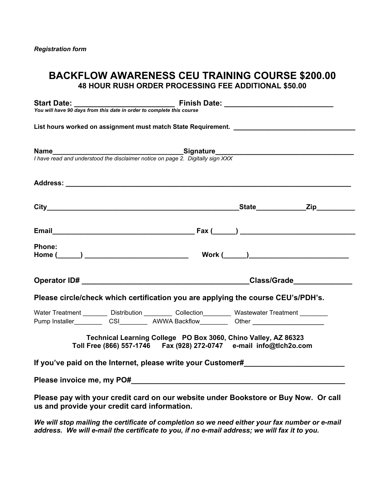# **BACKFLOW AWARENESS CEU TRAINING COURSE \$200.00 48 HOUR RUSH ORDER PROCESSING FEE ADDITIONAL \$50.00**

|        | Start Date: Finish<br>You will have 90 days from this date in order to complete this course |                                                                                                                                                                                                 |                                                                                        |
|--------|---------------------------------------------------------------------------------------------|-------------------------------------------------------------------------------------------------------------------------------------------------------------------------------------------------|----------------------------------------------------------------------------------------|
|        |                                                                                             |                                                                                                                                                                                                 |                                                                                        |
|        |                                                                                             |                                                                                                                                                                                                 |                                                                                        |
|        |                                                                                             |                                                                                                                                                                                                 |                                                                                        |
|        |                                                                                             |                                                                                                                                                                                                 | Name<br>I have read and understood the disclaimer notice on page 2. Digitally sign XXX |
|        |                                                                                             |                                                                                                                                                                                                 |                                                                                        |
|        |                                                                                             |                                                                                                                                                                                                 |                                                                                        |
|        |                                                                                             |                                                                                                                                                                                                 |                                                                                        |
| Phone: |                                                                                             |                                                                                                                                                                                                 |                                                                                        |
|        |                                                                                             |                                                                                                                                                                                                 |                                                                                        |
|        |                                                                                             | Please circle/check which certification you are applying the course CEU's/PDH's.                                                                                                                |                                                                                        |
|        |                                                                                             | Water Treatment ________Distribution ___________Collection _________Wastewater Treatment<br>Pump Installer____________CSI____________ AWWA Backflow____________Other __________________________ |                                                                                        |
|        |                                                                                             | Technical Learning College PO Box 3060, Chino Valley, AZ 86323<br>Toll Free (866) 557-1746    Fax (928) 272-0747    e-mail info@tlch2o.com                                                      |                                                                                        |
|        |                                                                                             | If you've paid on the Internet, please write your Customer#_____________________                                                                                                                |                                                                                        |
|        |                                                                                             |                                                                                                                                                                                                 |                                                                                        |
|        | us and provide your credit card information.                                                | Please pay with your credit card on our website under Bookstore or Buy Now. Or call                                                                                                             |                                                                                        |

*We will stop mailing the certificate of completion so we need either your fax number or e-mail address. We will e-mail the certificate to you, if no e-mail address; we will fax it to you.*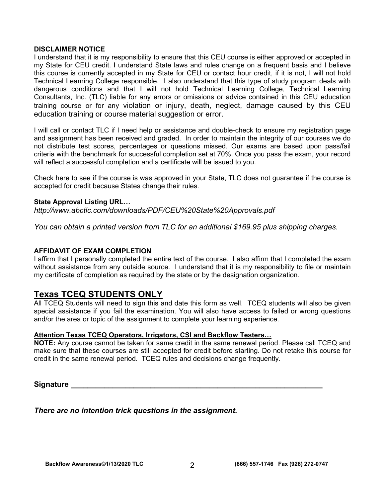#### **DISCLAIMER NOTICE**

I understand that it is my responsibility to ensure that this CEU course is either approved or accepted in my State for CEU credit. I understand State laws and rules change on a frequent basis and I believe this course is currently accepted in my State for CEU or contact hour credit, if it is not, I will not hold Technical Learning College responsible. I also understand that this type of study program deals with dangerous conditions and that I will not hold Technical Learning College, Technical Learning Consultants, Inc. (TLC) liable for any errors or omissions or advice contained in this CEU education training course or for any violation or injury, death, neglect, damage caused by this CEU education training or course material suggestion or error.

I will call or contact TLC if I need help or assistance and double-check to ensure my registration page and assignment has been received and graded. In order to maintain the integrity of our courses we do not distribute test scores, percentages or questions missed. Our exams are based upon pass/fail criteria with the benchmark for successful completion set at 70%. Once you pass the exam, your record will reflect a successful completion and a certificate will be issued to you.

Check here to see if the course is was approved in your State, TLC does not guarantee if the course is accepted for credit because States change their rules.

#### **State Approval Listing URL…**

*<http://www.abctlc.com/downloads/PDF/CEU%20State%20Approvals.pdf>*

*You can obtain a printed version from TLC for an additional \$169.95 plus shipping charges.* 

#### **AFFIDAVIT OF EXAM COMPLETION**

I affirm that I personally completed the entire text of the course. I also affirm that I completed the exam without assistance from any outside source. I understand that it is my responsibility to file or maintain my certificate of completion as required by the state or by the designation organization.

# **Texas TCEQ STUDENTS ONLY**

All TCEQ Students will need to sign this and date this form as well. TCEQ students will also be given special assistance if you fail the examination. You will also have access to failed or wrong questions and/or the area or topic of the assignment to complete your learning experience.

## **Attention Texas TCEQ Operators, Irrigators, CSI and Backflow Testers…**

**NOTE:** Any course cannot be taken for same credit in the same renewal period. Please call TCEQ and make sure that these courses are still accepted for credit before starting. Do not retake this course for credit in the same renewal period. TCEQ rules and decisions change frequently.

**Signature** 

*There are no intention trick questions in the assignment.*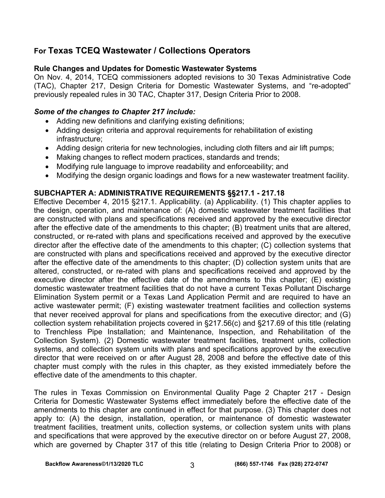# **For Texas TCEQ Wastewater / Collections Operators**

# **Rule Changes and Updates for Domestic Wastewater Systems**

On Nov. 4, 2014, TCEQ commissioners adopted revisions to 30 Texas Administrative Code (TAC), Chapter 217, Design Criteria for Domestic Wastewater Systems, and "re-adopted" previously repealed rules in 30 TAC, Chapter 317, Design Criteria Prior to 2008.

# *Some of the changes to Chapter 217 include:*

- Adding new definitions and clarifying existing definitions;
- Adding design criteria and approval requirements for rehabilitation of existing infrastructure;
- Adding design criteria for new technologies, including cloth filters and air lift pumps;
- Making changes to reflect modern practices, standards and trends;
- Modifying rule language to improve readability and enforceability; and
- Modifying the design organic loadings and flows for a new wastewater treatment facility.

# **SUBCHAPTER A: ADMINISTRATIVE REQUIREMENTS §§217.1 - 217.18**

Effective December 4, 2015 §217.1. Applicability. (a) Applicability. (1) This chapter applies to the design, operation, and maintenance of: (A) domestic wastewater treatment facilities that are constructed with plans and specifications received and approved by the executive director after the effective date of the amendments to this chapter; (B) treatment units that are altered, constructed, or re-rated with plans and specifications received and approved by the executive director after the effective date of the amendments to this chapter; (C) collection systems that are constructed with plans and specifications received and approved by the executive director after the effective date of the amendments to this chapter; (D) collection system units that are altered, constructed, or re-rated with plans and specifications received and approved by the executive director after the effective date of the amendments to this chapter; (E) existing domestic wastewater treatment facilities that do not have a current Texas Pollutant Discharge Elimination System permit or a Texas Land Application Permit and are required to have an active wastewater permit; (F) existing wastewater treatment facilities and collection systems that never received approval for plans and specifications from the executive director; and (G) collection system rehabilitation projects covered in §217.56(c) and §217.69 of this title (relating to Trenchless Pipe Installation; and Maintenance, Inspection, and Rehabilitation of the Collection System). (2) Domestic wastewater treatment facilities, treatment units, collection systems, and collection system units with plans and specifications approved by the executive director that were received on or after August 28, 2008 and before the effective date of this chapter must comply with the rules in this chapter, as they existed immediately before the effective date of the amendments to this chapter.

The rules in Texas Commission on Environmental Quality Page 2 Chapter 217 - Design Criteria for Domestic Wastewater Systems effect immediately before the effective date of the amendments to this chapter are continued in effect for that purpose. (3) This chapter does not apply to: (A) the design, installation, operation, or maintenance of domestic wastewater treatment facilities, treatment units, collection systems, or collection system units with plans and specifications that were approved by the executive director on or before August 27, 2008, which are governed by Chapter 317 of this title (relating to Design Criteria Prior to 2008) or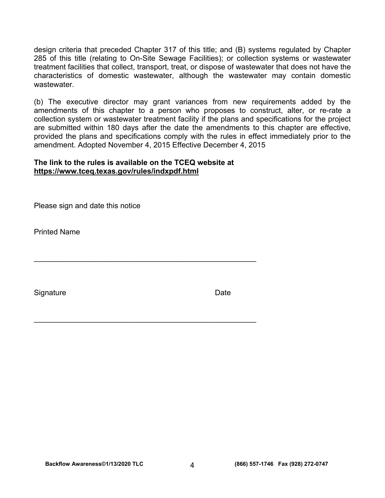design criteria that preceded Chapter 317 of this title; and (B) systems regulated by Chapter 285 of this title (relating to On-Site Sewage Facilities); or collection systems or wastewater treatment facilities that collect, transport, treat, or dispose of wastewater that does not have the characteristics of domestic wastewater, although the wastewater may contain domestic wastewater.

(b) The executive director may grant variances from new requirements added by the amendments of this chapter to a person who proposes to construct, alter, or re-rate a collection system or wastewater treatment facility if the plans and specifications for the project are submitted within 180 days after the date the amendments to this chapter are effective, provided the plans and specifications comply with the rules in effect immediately prior to the amendment. Adopted November 4, 2015 Effective December 4, 2015

## **The link to the rules is available on the TCEQ website at <https://www.tceq.texas.gov/rules/indxpdf.html>**

\_\_\_\_\_\_\_\_\_\_\_\_\_\_\_\_\_\_\_\_\_\_\_\_\_\_\_\_\_\_\_\_\_\_\_\_\_\_\_\_\_\_\_\_\_\_\_\_\_\_\_\_\_

\_\_\_\_\_\_\_\_\_\_\_\_\_\_\_\_\_\_\_\_\_\_\_\_\_\_\_\_\_\_\_\_\_\_\_\_\_\_\_\_\_\_\_\_\_\_\_\_\_\_\_\_\_

Please sign and date this notice

Printed Name

Signature **Date**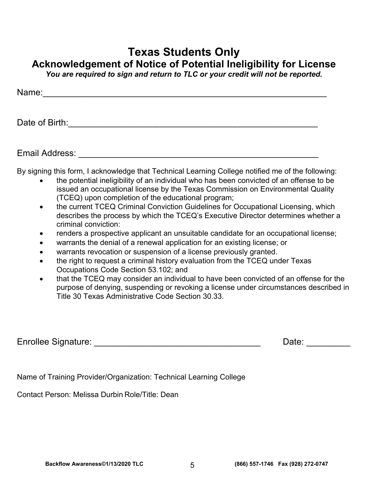# **Texas Students Only**

**Acknowledgement of Notice of Potential Ineligibility for License** 

*You are required to sign and return to TLC or your credit will not be reported.* 

| Name: |  |  |  |
|-------|--|--|--|
|       |  |  |  |

Date of Birth:\_\_\_\_\_\_\_\_\_\_\_\_\_\_\_\_\_\_\_\_\_\_\_\_\_\_\_\_\_\_\_\_\_\_\_\_\_\_\_\_\_\_\_\_\_\_\_\_\_\_\_

Email Address: \_\_\_\_\_\_\_\_\_\_\_\_\_\_\_\_\_\_\_\_\_\_\_\_\_\_\_\_\_\_\_\_\_\_\_\_\_\_\_\_\_\_\_\_\_\_\_\_\_

By signing this form, I acknowledge that Technical Learning College notified me of the following:

- the potential ineligibility of an individual who has been convicted of an offense to be issued an occupational license by the Texas Commission on Environmental Quality (TCEQ) upon completion of the educational program;
- the current TCEQ Criminal Conviction Guidelines for Occupational Licensing, which describes the process by which the TCEQ's Executive Director determines whether a criminal conviction:
- renders a prospective applicant an unsuitable candidate for an occupational license;
- warrants the denial of a renewal application for an existing license; or
- warrants revocation or suspension of a license previously granted.
- the right to request a criminal history evaluation from the TCEQ under Texas Occupations Code Section 53.102; and
- that the TCEQ may consider an individual to have been convicted of an offense for the purpose of denying, suspending or revoking a license under circumstances described in Title 30 Texas Administrative Code Section 30.33.

Enrollee Signature: \_\_\_\_\_\_\_\_\_\_\_\_\_\_\_\_\_\_\_\_\_\_\_\_\_\_\_\_\_\_\_\_\_\_ Date: \_\_\_\_\_\_\_\_\_

Name of Training Provider/Organization: Technical Learning College

Contact Person: Melissa Durbin Role/Title: Dean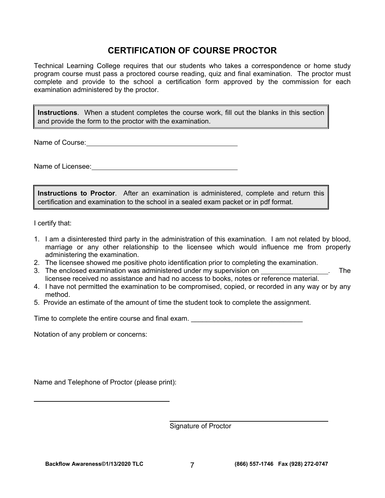# **CERTIFICATION OF COURSE PROCTOR**

Technical Learning College requires that our students who takes a correspondence or home study program course must pass a proctored course reading, quiz and final examination. The proctor must complete and provide to the school a certification form approved by the commission for each examination administered by the proctor.

**Instructions**. When a student completes the course work, fill out the blanks in this section and provide the form to the proctor with the examination.

Name of Course: We have a series of  $\sim$ 

Name of Licensee: **Name of Licensee:** 

**Instructions to Proctor**. After an examination is administered, complete and return this certification and examination to the school in a sealed exam packet or in pdf format.

I certify that:

 $\overline{a}$ 

- 1. I am a disinterested third party in the administration of this examination. I am not related by blood, marriage or any other relationship to the licensee which would influence me from properly administering the examination.
- 2. The licensee showed me positive photo identification prior to completing the examination.
- 3. The enclosed examination was administered under my supervision on . The licensee received no assistance and had no access to books, notes or reference material.
- 4. I have not permitted the examination to be compromised, copied, or recorded in any way or by any method.
- 5. Provide an estimate of the amount of time the student took to complete the assignment.

Time to complete the entire course and final exam.

Notation of any problem or concerns:

Name and Telephone of Proctor (please print):

Signature of Proctor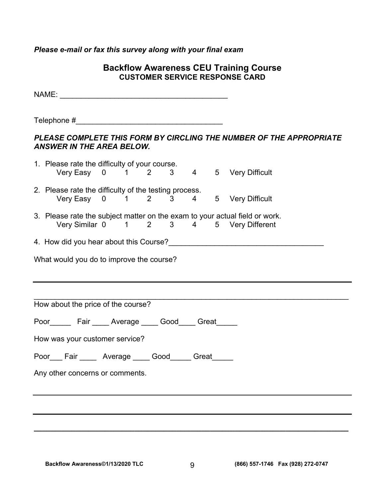# *Please e-mail or fax this survey along with your final exam*

# **Backflow Awareness CEU Training Course CUSTOMER SERVICE RESPONSE CARD**

|                                | $\mathsf{Telephone}\ \text{\#}$                       |  |  |  |  |  |                                                                                                                        |
|--------------------------------|-------------------------------------------------------|--|--|--|--|--|------------------------------------------------------------------------------------------------------------------------|
|                                | <b>ANSWER IN THE AREA BELOW.</b>                      |  |  |  |  |  | PLEASE COMPLETE THIS FORM BY CIRCLING THE NUMBER OF THE APPROPRIATE                                                    |
|                                | 1. Please rate the difficulty of your course.         |  |  |  |  |  | Very Easy 0 1 2 3 4 5 Very Difficult                                                                                   |
|                                | 2. Please rate the difficulty of the testing process. |  |  |  |  |  | Very Easy 0 1 2 3 4 5 Very Difficult                                                                                   |
|                                |                                                       |  |  |  |  |  | 3. Please rate the subject matter on the exam to your actual field or work.<br>Very Similar 0 1 2 3 4 5 Very Different |
|                                |                                                       |  |  |  |  |  |                                                                                                                        |
|                                | What would you do to improve the course?              |  |  |  |  |  |                                                                                                                        |
|                                |                                                       |  |  |  |  |  |                                                                                                                        |
|                                | How about the price of the course?                    |  |  |  |  |  |                                                                                                                        |
|                                | Poor Fair Average Good Great                          |  |  |  |  |  |                                                                                                                        |
| How was your customer service? |                                                       |  |  |  |  |  |                                                                                                                        |
| Poor Fair Average Good Great   |                                                       |  |  |  |  |  |                                                                                                                        |
|                                | Any other concerns or comments.                       |  |  |  |  |  |                                                                                                                        |

**\_\_\_\_\_\_\_\_\_\_\_\_\_\_\_\_\_\_\_\_\_\_\_\_\_\_\_\_\_\_\_\_\_\_\_\_\_\_\_\_\_\_\_\_\_\_\_\_\_\_\_\_\_\_\_\_\_\_\_\_\_\_\_\_\_\_\_\_\_\_\_\_\_\_\_**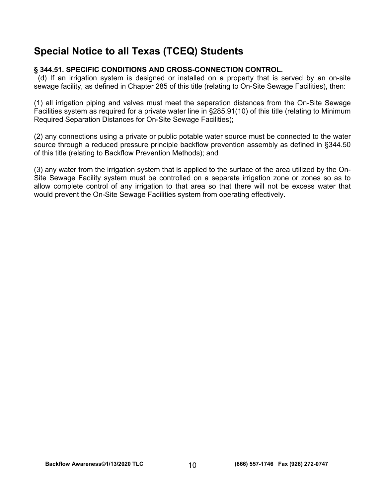# **Special Notice to all Texas (TCEQ) Students**

# **§ 344.51. SPECIFIC CONDITIONS AND CROSS-CONNECTION CONTROL.**

 (d) If an irrigation system is designed or installed on a property that is served by an on-site sewage facility, as defined in Chapter 285 of this title (relating to On-Site Sewage Facilities), then:

(1) all irrigation piping and valves must meet the separation distances from the On-Site Sewage Facilities system as required for a private water line in §285.91(10) of this title (relating to Minimum Required Separation Distances for On-Site Sewage Facilities);

(2) any connections using a private or public potable water source must be connected to the water source through a reduced pressure principle backflow prevention assembly as defined in §344.50 of this title (relating to Backflow Prevention Methods); and

(3) any water from the irrigation system that is applied to the surface of the area utilized by the On-Site Sewage Facility system must be controlled on a separate irrigation zone or zones so as to allow complete control of any irrigation to that area so that there will not be excess water that would prevent the On-Site Sewage Facilities system from operating effectively.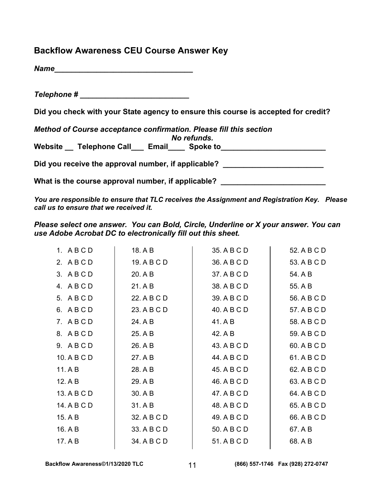# **Backflow Awareness CEU Course Answer Key**

| Telephone # ___________________________                                          |                                                                                    |
|----------------------------------------------------------------------------------|------------------------------------------------------------------------------------|
|                                                                                  | Did you check with your State agency to ensure this course is accepted for credit? |
| Method of Course acceptance confirmation. Please fill this section               | No refunds.                                                                        |
| Website __ Telephone Call___ Email____ Spoke to_________________________________ |                                                                                    |
| Did you receive the approval number, if applicable?                              |                                                                                    |
| What is the course approval number, if applicable?                               |                                                                                    |

*You are responsible to ensure that TLC receives the Assignment and Registration Key. Please call us to ensure that we received it.* 

*Please select one answer. You can Bold, Circle, Underline or X your answer. You can use Adobe Acrobat DC to electronically fill out this sheet.* 

| 1. ABCD     | 18. A B     | 35. A B C D | 52. A B C D |
|-------------|-------------|-------------|-------------|
| 2. ABCD     | 19. A B C D | 36. A B C D | 53. A B C D |
| 3. ABCD     | 20. A B     | 37. A B C D | 54. A B     |
| 4. ABCD     | 21. A B     | 38. A B C D | 55. A B     |
| 5. ABCD     | 22. A B C D | 39. A B C D | 56. A B C D |
| 6. ABCD     | 23. A B C D | 40. A B C D | 57. A B C D |
| 7. ABCD     | 24. A B     | 41. A B     | 58. A B C D |
| 8. ABCD     | 25. A B     | 42. A B     | 59. A B C D |
| 9. ABCD     | 26. A B     | 43. A B C D | 60. A B C D |
| 10. A B C D | 27. A B     | 44. A B C D | 61. A B C D |
| 11. A B     | 28. A B     | 45. A B C D | 62. A B C D |
| 12. A B     | 29. A B     | 46. A B C D | 63. A B C D |
| 13. A B C D | 30. A B     | 47. A B C D | 64. A B C D |
| 14. A B C D | 31. A B     | 48. A B C D | 65. A B C D |
| 15. A B     | 32. A B C D | 49. A B C D | 66. A B C D |
| 16. A B     | 33. A B C D | 50. A B C D | 67. A B     |
| 17. A B     | 34. A B C D | 51. A B C D | 68. A B     |
|             |             |             |             |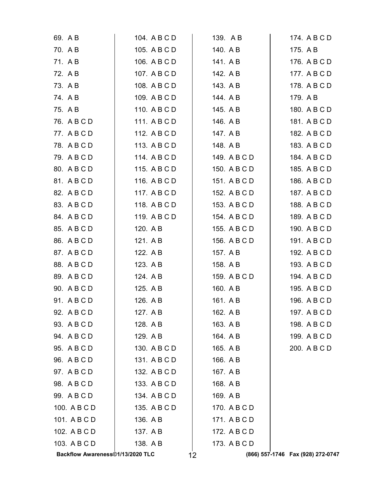| 69. A B                          | 104. A B C D |    | 139. AB      | 174. A B C D                      |
|----------------------------------|--------------|----|--------------|-----------------------------------|
| 70. AB                           | 105. A B C D |    | 140. A B     | 175. A B                          |
| 71. AB                           | 106. A B C D |    | 141. A B     | 176. A B C D                      |
| 72. AB                           | 107. A B C D |    | 142. AB      | 177. A B C D                      |
| 73. A B                          | 108. A B C D |    | 143. A B     | 178. A B C D                      |
| 74. AB                           | 109. A B C D |    | 144. A B     | 179. A B                          |
| 75. A B                          | 110. A B C D |    | 145. A B     | 180. A B C D                      |
| 76. A B C D                      | 111. A B C D |    | 146. A B     | 181. A B C D                      |
| 77. A B C D                      | 112. A B C D |    | 147. AB      | 182. A B C D                      |
| 78. A B C D                      | 113. A B C D |    | 148. AB      | 183. A B C D                      |
| 79. A B C D                      | 114. A B C D |    | 149. A B C D | 184. A B C D                      |
| 80. A B C D                      | 115. A B C D |    | 150. A B C D | 185. A B C D                      |
| 81. A B C D                      | 116. A B C D |    | 151. A B C D | 186. A B C D                      |
| 82. A B C D                      | 117. A B C D |    | 152. A B C D | 187. A B C D                      |
| 83. A B C D                      | 118. A B C D |    | 153. A B C D | 188. A B C D                      |
| 84. A B C D                      | 119. A B C D |    | 154. A B C D | 189. A B C D                      |
| 85. A B C D                      | 120. A B     |    | 155. A B C D | 190. A B C D                      |
| 86. A B C D                      | 121. A B     |    | 156. A B C D | 191. A B C D                      |
| 87. A B C D                      | 122. A B     |    | 157. A B     | 192. A B C D                      |
| 88. A B C D                      | 123. A B     |    | 158. A B     | 193. A B C D                      |
| 89. A B C D                      | 124. A B     |    | 159. A B C D | 194. A B C D                      |
| 90. A B C D                      | 125. A B     |    | 160. A B     | 195. A B C D                      |
| 91. A B C D                      | 126. A B     |    | 161. AB      | 196. A B C D                      |
| 92. A B C D                      | 127. A B     |    | 162. A B     | 197. A B C D                      |
| 93. A B C D                      | 128. A B     |    | 163. A B     | 198. A B C D                      |
| 94. ABCD                         | 129. AB      |    | 164. A B     | 199. A B C D                      |
| 95. A B C D                      | 130. A B C D |    | 165. A B     | 200. A B C D                      |
| 96. A B C D                      | 131. ABCD    |    | 166. A B     |                                   |
| 97. ABCD                         | 132. A B C D |    | 167. AB      |                                   |
| 98. A B C D                      | 133. A B C D |    | 168. AB      |                                   |
| 99. A B C D                      | 134. A B C D |    | 169. AB      |                                   |
| 100. A B C D                     | 135. A B C D |    | 170. A B C D |                                   |
| 101. A B C D                     | 136. A B     |    | 171. ABCD    |                                   |
| 102. A B C D                     | 137. A B     |    | 172. A B C D |                                   |
| 103. A B C D                     | 138. A B     |    | 173. A B C D |                                   |
| Backflow Awareness©1/13/2020 TLC |              | 12 |              | (866) 557-1746 Fax (928) 272-0747 |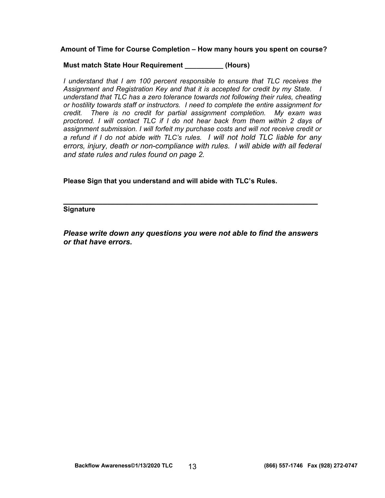**Amount of Time for Course Completion – How many hours you spent on course?** 

#### **Must match State Hour Requirement (Hours)**

*I understand that I am 100 percent responsible to ensure that TLC receives the Assignment and Registration Key and that it is accepted for credit by my State. I understand that TLC has a zero tolerance towards not following their rules, cheating or hostility towards staff or instructors. I need to complete the entire assignment for credit. There is no credit for partial assignment completion. My exam was proctored. I will contact TLC if I do not hear back from them within 2 days of assignment submission. I will forfeit my purchase costs and will not receive credit or a refund if I do not abide with TLC's rules. I will not hold TLC liable for any errors, injury, death or non-compliance with rules. I will abide with all federal and state rules and rules found on page 2.* 

**Please Sign that you understand and will abide with TLC's Rules.** 

# **\_\_\_\_\_\_\_\_\_\_\_\_\_\_\_\_\_\_\_\_\_\_\_\_\_\_\_\_\_\_\_\_\_\_\_\_\_\_\_\_\_\_\_\_\_\_\_\_\_\_\_\_ Signature**

*Please write down any questions you were not able to find the answers or that have errors.*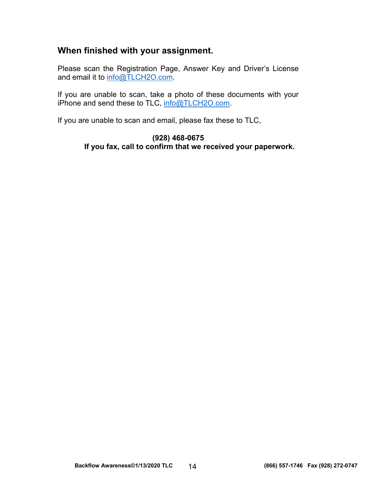# **When finished with your assignment.**

Please scan the Registration Page, Answer Key and Driver's License and email it to info@TLCH2O.com.

If you are unable to scan, take a photo of these documents with your iPhone and send these to TLC, info@TLCH2O.com.

If you are unable to scan and email, please fax these to TLC,

# **(928) 468-0675 If you fax, call to confirm that we received your paperwork.**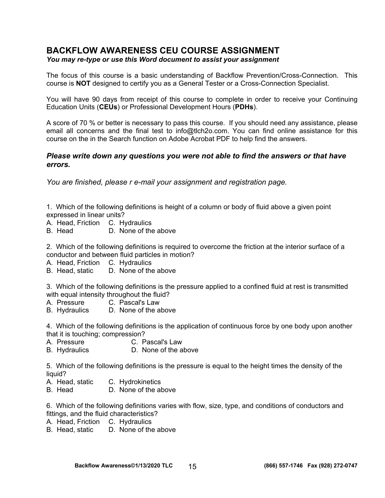# **BACKFLOW AWARENESS CEU COURSE ASSIGNMENT**

## *You may re-type or use this Word document to assist your assignment*

The focus of this course is a basic understanding of Backflow Prevention/Cross-Connection. This course is **NOT** designed to certify you as a General Tester or a Cross-Connection Specialist.

You will have 90 days from receipt of this course to complete in order to receive your Continuing Education Units (**CEUs**) or Professional Development Hours (**PDHs**).

A score of 70 % or better is necessary to pass this course. If you should need any assistance, please email all concerns and the final test to [info@tlch2o.com. Y](mailto:info@tlch2o.com)ou can find online assistance for this course on the in the Search function on Adobe Acrobat PDF to help find the answers.

## *Please write down any questions you were not able to find the answers or that have errors.*

*You are finished, please r e-mail your assignment and registration page.* 

1. Which of the following definitions is height of a column or body of fluid above a given point expressed in linear units?

- A. Head, Friction C. Hydraulics
- B. Head D. None of the above

2. Which of the following definitions is required to overcome the friction at the interior surface of a conductor and between fluid particles in motion?

- A. Head, Friction C. Hydraulics
- B. Head, static D. None of the above

3. Which of the following definitions is the pressure applied to a confined fluid at rest is transmitted with equal intensity throughout the fluid?

- A. Pressure C. Pascal's Law
- B. Hydraulics D. None of the above

4. Which of the following definitions is the application of continuous force by one body upon another that it is touching; compression?

- A. Pressure C. Pascal's Law
- B. Hydraulics D. None of the above

5. Which of the following definitions is the pressure is equal to the height times the density of the liquid?

- A. Head, static C. Hydrokinetics
- B. Head D. None of the above

6. Which of the following definitions varies with flow, size, type, and conditions of conductors and fittings, and the fluid characteristics?

- A. Head, Friction C. Hydraulics
- B. Head, static D. None of the above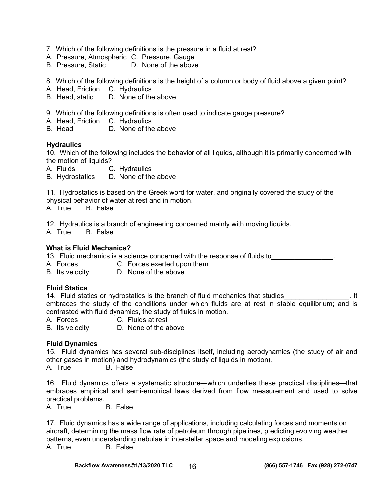- 7. Which of the following definitions is the pressure in a fluid at rest?
- A. Pressure, Atmospheric C. Pressure, Gauge
- B. Pressure, Static D. None of the above
- 8. Which of the following definitions is the height of a column or body of fluid above a given point?
- A. Head, Friction C. Hydraulics
- B. Head, static D. None of the above
- 9. Which of the following definitions is often used to indicate gauge pressure?
- A. Head, Friction C. Hydraulics
- B. Head D. None of the above

#### **Hydraulics**

10. Which of the following includes the behavior of all liquids, although it is primarily concerned with the motion of liquids?

- A. Fluids C. Hydraulics
- B. Hydrostatics D. None of the above

11. Hydrostatics is based on the Greek word for water, and originally covered the study of the physical behavior of water at rest and in motion.

A. True B. False

12. Hydraulics is a branch of engineering concerned mainly with moving liquids.

A. True B. False

#### **What is Fluid Mechanics?**

13. Fluid mechanics is a science concerned with the response of fluids to\_\_\_\_\_\_\_\_\_\_\_\_\_\_\_\_.

A. Forces C. Forces exerted upon them

B. Its velocity D. None of the above

## **Fluid Statics**

14. Fluid statics or hydrostatics is the branch of fluid mechanics that studies\_\_\_\_\_\_\_\_\_\_\_\_\_\_\_\_\_. It embraces the study of the conditions under which fluids are at rest in stable equilibrium; and is contrasted with fluid dynamics, the study of fluids in motion.

A. Forces C. Fluids at rest

B. Its velocity D. None of the above

## **Fluid Dynamics**

15. Fluid dynamics has several sub-disciplines itself, including aerodynamics (the study of air and other gases in motion) and hydrodynamics (the study of liquids in motion).

A. True B. False

16. Fluid dynamics offers a systematic structure—which underlies these practical disciplines—that embraces empirical and semi-empirical laws derived from flow measurement and used to solve practical problems.

A. True B. False

17. Fluid dynamics has a wide range of applications, including calculating forces and moments on aircraft, determining the mass flow rate of petroleum through pipelines, predicting evolving weather patterns, even understanding nebulae in interstellar space and modeling explosions. A. True B. False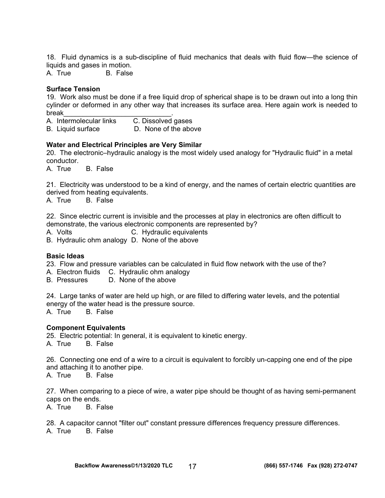18. Fluid dynamics is a sub-discipline of fluid mechanics that deals with fluid flow—the science of liquids and gases in motion.

A. True B. False

#### **Surface Tension**

19. Work also must be done if a free liquid drop of spherical shape is to be drawn out into a long thin cylinder or deformed in any other way that increases its surface area. Here again work is needed to break\_\_\_\_\_\_\_\_\_\_\_\_\_\_\_\_\_\_\_\_\_\_\_\_\_\_\_\_.

A. Intermolecular links C. Dissolved gases

B. Liquid surface D. None of the above

#### **Water and Electrical Principles are Very Similar**

20. The electronic–hydraulic analogy is the most widely used analogy for "Hydraulic fluid" in a metal conductor.

A. True B. False

21. Electricity was understood to be a kind of energy, and the names of certain electric quantities are derived from heating equivalents.

A. True B. False

22. Since electric current is invisible and the processes at play in electronics are often difficult to demonstrate, the various electronic components are represented by?

A. Volts **C.** Hydraulic equivalents

B. Hydraulic ohm analogy D. None of the above

#### **Basic Ideas**

23. Flow and pressure variables can be calculated in fluid flow network with the use of the?

A. Electron fluids C. Hydraulic ohm analogy

B. Pressures D. None of the above

24. Large tanks of water are held up high, or are filled to differing water levels, and the potential energy of the water head is the pressure source.<br>A. True B. False

**B.** False

#### **Component Equivalents**

25. Electric potential: In general, it is equivalent to kinetic energy.

A. True B. False

26. Connecting one end of a wire to a circuit is equivalent to forcibly un-capping one end of the pipe and attaching it to another pipe.

A. True B. False

27. When comparing to a piece of wire, a water pipe should be thought of as having semi-permanent caps on the ends.

A. True B. False

28. A capacitor cannot "filter out" constant pressure differences frequency pressure differences. A. True B. False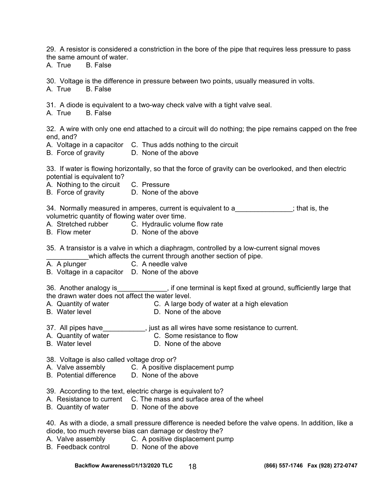29. A resistor is considered a constriction in the bore of the pipe that requires less pressure to pass the same amount of water.

A. True B. False

30. Voltage is the difference in pressure between two points, usually measured in volts.

A. True B. False

31. A diode is equivalent to a two-way check valve with a tight valve seal.

A. True B. False

32. A wire with only one end attached to a circuit will do nothing; the pipe remains capped on the free end, and?

A. Voltage in a capacitor C. Thus adds nothing to the circuit

B. Force of gravity D. None of the above

33. If water is flowing horizontally, so that the force of gravity can be overlooked, and then electric potential is equivalent to?

A. Nothing to the circuit C. Pressure

B. Force of gravity D. None of the above

34. Normally measured in amperes, current is equivalent to a\_\_\_\_\_\_\_\_\_\_\_\_\_\_; that is, the volumetric quantity of flowing water over time.

- A. Stretched rubber C. Hydraulic volume flow rate
- B. Flow meter **D.** None of the above

35. A transistor is a valve in which a diaphragm, controlled by a low-current signal moves which affects the current through another section of pipe.

- A. A plunger C. A needle valve
- B. Voltage in a capacitor D. None of the above

36. Another analogy is\_\_\_\_\_\_\_\_\_\_\_\_\_, if one terminal is kept fixed at ground, sufficiently large that the drawn water does not affect the water level.

- A. Quantity of water **C.** A large body of water at a high elevation<br>B. Water level **C.** None of the above
- D. None of the above
- 37. All pipes have\_\_\_\_\_\_\_\_\_\_, just as all wires have some resistance to current.
- A. Quantity of water C. Some resistance to flow
- B. Water level **D. None of the above**
- 38. Voltage is also called voltage drop or?
- A. Valve assembly C. A positive displacement pump
- B. Potential difference D. None of the above
- 39. According to the text, electric charge is equivalent to?
- A. Resistance to current C. The mass and surface area of the wheel
- B. Quantity of water D. None of the above

40. As with a diode, a small pressure difference is needed before the valve opens. In addition, like a diode, too much reverse bias can damage or destroy the?

- A. Valve assembly C. A positive displacement pump
- B. Feedback control D. None of the above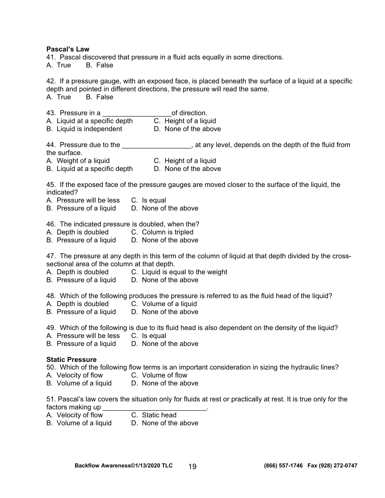#### **Pascal's Law**

41. Pascal discovered that pressure in a fluid acts equally in some directions.

A. True B. False

42. If a pressure gauge, with an exposed face, is placed beneath the surface of a liquid at a specific depth and pointed in different directions, the pressure will read the same.

A. True B. False

43. Pressure in a **Alternative Contract Section** of direction. A. Liquid at a specific depth C. Height of a liquid

B. Liquid is independent D. None of the above

44. Pressure due to the **the contract of the set of the fluid from** the depth of the fluid from the surface.

A. Weight of a liquid C. Height of a liquid

B. Liquid at a specific depth D. None of the above

45. If the exposed face of the pressure gauges are moved closer to the surface of the liquid, the indicated?

- A. Pressure will be less C. Is equal
- B. Pressure of a liquid D. None of the above
- 46. The indicated pressure is doubled, when the?
- A. Depth is doubled C. Column is tripled
- B. Pressure of a liquid D. None of the above

47. The pressure at any depth in this term of the column of liquid at that depth divided by the crosssectional area of the column at that depth.

- A. Depth is doubled C. Liquid is equal to the weight
- B. Pressure of a liquid D. None of the above

48. Which of the following produces the pressure is referred to as the fluid head of the liquid?

- 
- A. Depth is doubled C. Volume of a liquid<br>B. Pressure of a liquid D. None of the above B. Pressure of a liquid

49. Which of the following is due to its fluid head is also dependent on the density of the liquid?

- A. Pressure will be less C. Is equal
- B. Pressure of a liquid D. None of the above

#### **Static Pressure**

50. Which of the following flow terms is an important consideration in sizing the hydraulic lines?

- A. Velocity of flow C. Volume of flow
- B. Volume of a liquid D. None of the above

51. Pascal's law covers the situation only for fluids at rest or practically at rest. It is true only for the factors making up \_\_\_\_\_\_\_\_\_\_\_\_\_\_\_\_\_\_\_\_\_\_\_\_\_\_\_.

- A. Velocity of flow
- B. Volume of a liquid D. None of the above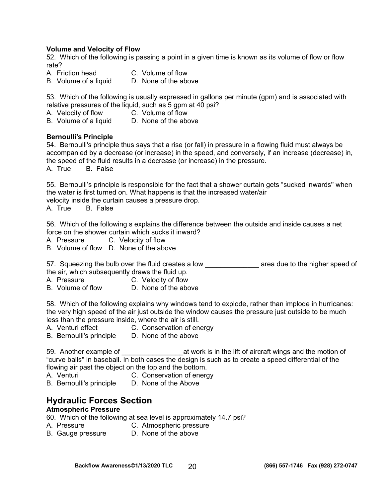## **Volume and Velocity of Flow**

52. Which of the following is passing a point in a given time is known as its volume of flow or flow rate?

- A. Friction head C. Volume of flow
	-
- B. Volume of a liquid D. None of the above

53. Which of the following is usually expressed in gallons per minute (gpm) and is associated with relative pressures of the liquid, such as 5 gpm at 40 psi?

- A. Velocity of flow C. Volume of flow
- B. Volume of a liquid D. None of the above

#### **Bernoulli's Principle**

54. Bernoulli's principle thus says that a rise (or fall) in pressure in a flowing fluid must always be accompanied by a decrease (or increase) in the speed, and conversely, if an increase (decrease) in, the speed of the fluid results in a decrease (or increase) in the pressure.

A. True B. False

55. Bernoulli's principle is responsible for the fact that a shower curtain gets "sucked inwards'' when the water is first turned on. What happens is that the increased water/air velocity inside the curtain causes a pressure drop.

A. True B. False

56. Which of the following s explains the difference between the outside and inside causes a net force on the shower curtain which sucks it inward?

A. Pressure C. Velocity of flow

B. Volume of flow D. None of the above

57. Squeezing the bulb over the fluid creates a low \_\_\_\_\_\_\_\_\_\_\_\_\_\_\_\_\_\_\_\_ area due to the higher speed of the air, which subsequently draws the fluid up.

- A. Pressure C. Velocity of flow
- B. Volume of flow D. None of the above

58. Which of the following explains why windows tend to explode, rather than implode in hurricanes: the very high speed of the air just outside the window causes the pressure just outside to be much less than the pressure inside, where the air is still.

- A. Venturi effect C. Conservation of energy
- B. Bernoulli's principle D. None of the above

59. Another example of \_\_\_\_\_\_\_\_\_\_\_\_\_\_\_\_at work is in the lift of aircraft wings and the motion of "curve balls'' in baseball. In both cases the design is such as to create a speed differential of the flowing air past the object on the top and the bottom.

- A. Venturi C. Conservation of energy
- B. Bernoulli's principle D. None of the Above

# **Hydraulic Forces Section**

#### **Atmospheric Pressure**

- 60. Which of the following at sea level is approximately 14.7 psi?
- A. Pressure C. Atmospheric pressure
- B. Gauge pressure D. None of the above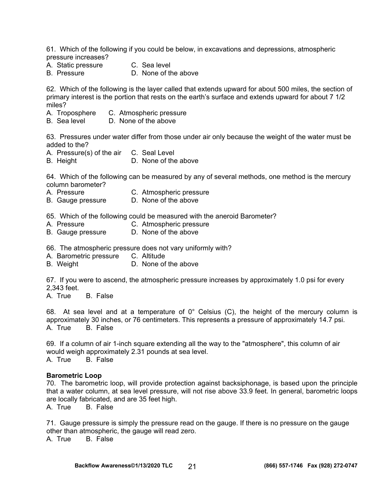61. Which of the following if you could be below, in excavations and depressions, atmospheric pressure increases?

- A. Static pressure C. Sea level
- 
- 
- B. Pressure **D. None of the above**

62. Which of the following is the layer called that extends upward for about 500 miles, the section of primary interest is the portion that rests on the earth's surface and extends upward for about 7 1/2 miles?

- A. Troposphere C. Atmospheric pressure
- B. Sea level D. None of the above

63. Pressures under water differ from those under air only because the weight of the water must be added to the?

- A. Pressure(s) of the air C. Seal Level
- B. Height D. None of the above

64. Which of the following can be measured by any of several methods, one method is the mercury column barometer?

- A. Pressure C. Atmospheric pressure
- B. Gauge pressure D. None of the above

65. Which of the following could be measured with the aneroid Barometer?

- A. Pressure C. Atmospheric pressure
- B. Gauge pressure D. None of the above

66. The atmospheric pressure does not vary uniformly with?

- A. Barometric pressure C. Altitude
- B. Weight **D.** None of the above

67. If you were to ascend, the atmospheric pressure increases by approximately 1.0 psi for every 2,343 feet.

A. True B. False

68. At sea level and at a temperature of  $0^{\circ}$  Celsius (C), the height of the mercury column is approximately 30 inches, or 76 centimeters. This represents a pressure of approximately 14.7 psi. A. True B. False

69. If a column of air 1-inch square extending all the way to the "atmosphere", this column of air would weigh approximately 2.31 pounds at sea level. A. True B. False

#### **Barometric Loop**

70. The barometric loop, will provide protection against backsiphonage, is based upon the principle that a water column, at sea level pressure, will not rise above 33.9 feet. In general, barometric loops are locally fabricated, and are 35 feet high.

A. True B. False

71. Gauge pressure is simply the pressure read on the gauge. If there is no pressure on the gauge other than atmospheric, the gauge will read zero.

A. True B. False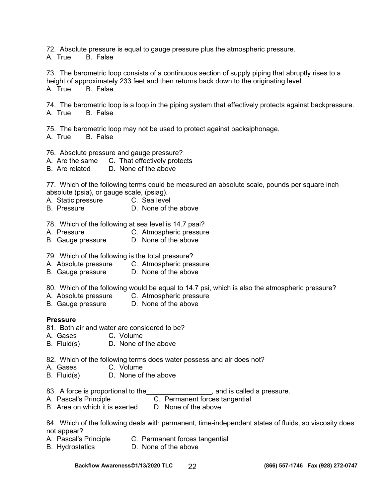72. Absolute pressure is equal to gauge pressure plus the atmospheric pressure.

A. True B. False

73. The barometric loop consists of a continuous section of supply piping that abruptly rises to a height of approximately 233 feet and then returns back down to the originating level. A. True B. False

74. The barometric loop is a loop in the piping system that effectively protects against backpressure. A. True B. False

75. The barometric loop may not be used to protect against backsiphonage.

A. True B. False

76. Absolute pressure and gauge pressure?

- A. Are the same C. That effectively protects
- B. Are related D. None of the above

77. Which of the following terms could be measured an absolute scale, pounds per square inch absolute (psia), or gauge scale, (psiag).

- A. Static pressure C. Sea level
- B. Pressure D. None of the above
- 78. Which of the following at sea level is 14.7 psai?
- A. Pressure C. Atmospheric pressure
- B. Gauge pressure D. None of the above
- 79. Which of the following is the total pressure?
- A. Absolute pressure C. Atmospheric pressure
- B. Gauge pressure D. None of the above
- 80. Which of the following would be equal to 14.7 psi, which is also the atmospheric pressure?
- A. Absolute pressure C. Atmospheric pressure
- B. Gauge pressure D. None of the above

## **Pressure**

- 81. Both air and water are considered to be?
- A. Gases C. Volume
- B. Fluid(s) D. None of the above
- 82. Which of the following terms does water possess and air does not?
- A. Gases C. Volume
- B. Fluid(s) D. None of the above
- 83. A force is proportional to the **EXAL AD AD AD AD AD AD AD AD AD AD AD AD AD** A pressure.
- A. Pascal's Principle **C. Permanent forces tangential**
- B. Area on which it is exerted D. None of the above

84. Which of the following deals with permanent, time-independent states of fluids, so viscosity does not appear?

- A. Pascal's Principle C. Permanent forces tangential
- B. Hydrostatics D. None of the above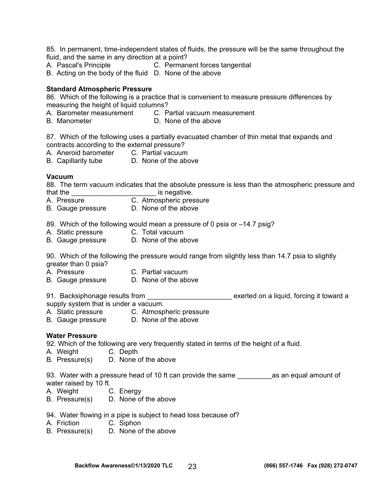85. In permanent, time-independent states of fluids, the pressure will be the same throughout the fluid, and the same in any direction at a point?

- A. Pascal's Principle C. Permanent forces tangential
- B. Acting on the body of the fluid D. None of the above

#### **Standard Atmospheric Pressure**

86. Which of the following is a practice that is convenient to measure pressure differences by measuring the height of liquid columns?

- A. Barometer measurement C. Partial vacuum measurement
- B. Manometer D. None of the above

87. Which of the following uses a partially evacuated chamber of thin metal that expands and contracts according to the external pressure?

A. Aneroid barometer C. Partial vacuum

B. Capillarity tube D. None of the above

#### **Vacuum**

88. The term vacuum indicates that the absolute pressure is less than the atmospheric pressure and that the \_\_\_\_\_\_\_\_\_\_\_\_\_\_\_\_\_\_\_\_\_\_\_\_\_\_\_\_\_\_\_\_\_ is negative.

- A. Pressure **C. Atmospheric pressure**
- B. Gauge pressure D. None of the above

89. Which of the following would mean a pressure of 0 psia or –14.7 psig?

- A. Static pressure C. Total vacuum
- B. Gauge pressure D. None of the above

90. Which of the following the pressure would range from slightly less than 14.7 psia to slightly greater than 0 psia?

- A. Pressure C. Partial vacuum
- B. Gauge pressure D. None of the above

91. Backsiphonage results from \_\_\_\_\_\_\_\_\_\_\_\_\_\_\_\_\_\_\_\_\_\_\_\_\_ exerted on a liquid, forcing it toward a

supply system that is under a vacuum.

- A. Static pressure C. Atmospheric pressure
- B. Gauge pressure D. None of the above

#### **Water Pressure**

92. Which of the following are very frequently stated in terms of the height of a fluid.

- A. Weight C. Depth
- B. Pressure(s) D. None of the above

93. Water with a pressure head of 10 ft can provide the same equal amount of water raised by 10 ft.

- A. Weight C. Energy
- B. Pressure(s) D. None of the above
- 94. Water flowing in a pipe is subject to head loss because of?
- A. Friction C. Siphon
- B. Pressure(s) D. None of the above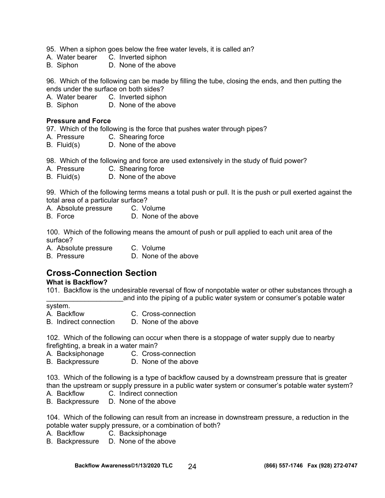- 95. When a siphon goes below the free water levels, it is called an?
- A. Water bearer C. Inverted siphon
- B. Siphon D. None of the above

96. Which of the following can be made by filling the tube, closing the ends, and then putting the ends under the surface on both sides?

- A. Water bearer C. Inverted siphon
- B. Siphon D. None of the above

#### **Pressure and Force**

97. Which of the following is the force that pushes water through pipes?

- A. Pressure C. Shearing force
- B. Fluid(s) D. None of the above

98. Which of the following and force are used extensively in the study of fluid power?

- A. Pressure C. Shearing force
- B. Fluid(s) D. None of the above

99. Which of the following terms means a total push or pull. It is the push or pull exerted against the total area of a particular surface?

A. Absolute pressure C. Volume

B. Force D. None of the above

100. Which of the following means the amount of push or pull applied to each unit area of the surface?

A. Absolute pressure C. Volume

B. Pressure D. None of the above

# **Cross-Connection Section**

## **What is Backflow?**

101. Backflow is the undesirable reversal of flow of nonpotable water or other substances through a and into the piping of a public water system or consumer's potable water

#### system.

- A. Backflow C. Cross-connection
- B. Indirect connection D. None of the above

102. Which of the following can occur when there is a stoppage of water supply due to nearby firefighting, a break in a water main?

- A. Backsiphonage C. Cross-connection
- B. Backpressure D. None of the above

103. Which of the following is a type of backflow caused by a downstream pressure that is greater than the upstream or supply pressure in a public water system or consumer's potable water system?

A. Backflow C. Indirect connection

B. Backpressure D. None of the above

104. Which of the following can result from an increase in downstream pressure, a reduction in the potable water supply pressure, or a combination of both?

- A. Backflow C. Backsiphonage
- B. Backpressure D. None of the above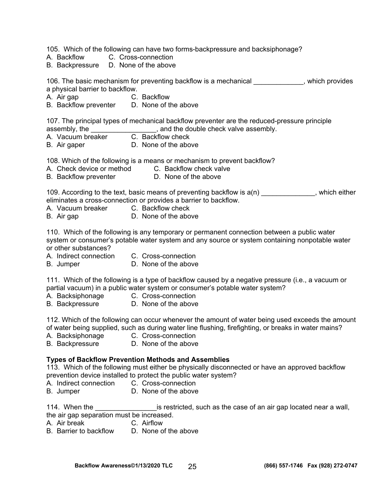105. Which of the following can have two forms-backpressure and backsiphonage?

- A. Backflow C. Cross-connection
- B. Backpressure D. None of the above

106. The basic mechanism for preventing backflow is a mechanical \_\_\_\_\_\_\_\_\_\_\_\_, which provides a physical barrier to backflow.

- A. Air gap C. Backflow
- B. Backflow preventer D. None of the above

107. The principal types of mechanical backflow preventer are the reduced-pressure principle assembly, the  $\,$ , and the double check valve assembly.  $\frac{1}{\text{C}}$ , and the double check valve assembly.

- A. Vacuum breaker
- B. Air gaper D. None of the above

108. Which of the following is a means or mechanism to prevent backflow?

- A. Check device or method C. Backflow check valve
- B. Backflow preventer **D.** None of the above

109. According to the text, basic means of preventing backflow is  $a(n)$  , which either eliminates a cross-connection or provides a barrier to backflow.

- A. Vacuum breaker C. Backflow check
- B. Air gap D. None of the above

110. Which of the following is any temporary or permanent connection between a public water system or consumer's potable water system and any source or system containing nonpotable water or other substances?

- A. Indirect connection C. Cross-connection
- B. Jumper D. None of the above

111. Which of the following is a type of backflow caused by a negative pressure (i.e., a vacuum or partial vacuum) in a public water system or consumer's potable water system?

- A. Backsiphonage C. Cross-connection
- B. Backpressure D. None of the above

112. Which of the following can occur whenever the amount of water being used exceeds the amount of water being supplied, such as during water line flushing, firefighting, or breaks in water mains?

- 
- A. Backsiphonage C. Cross-connection
- B. Backpressure D. None of the above

## **Types of Backflow Prevention Methods and Assemblies**

113. Which of the following must either be physically disconnected or have an approved backflow prevention device installed to protect the public water system?

- A. Indirect connection C. Cross-connection
- B. Jumper D. None of the above

114. When the <u>section of the set</u> is restricted, such as the case of an air gap located near a wall, the air gap separation must be increased.

- A. Air break C. Airflow
- B. Barrier to backflow D. None of the above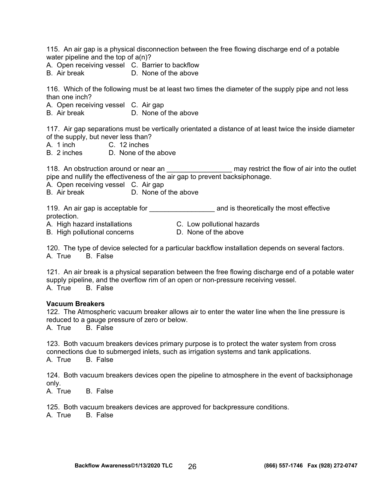115. An air gap is a physical disconnection between the free flowing discharge end of a potable water pipeline and the top of a(n)?

A. Open receiving vessel C. Barrier to backflow

B. Air break D. None of the above

116. Which of the following must be at least two times the diameter of the supply pipe and not less than one inch?

A. Open receiving vessel C. Air gap

B. Air break D. None of the above

117. Air gap separations must be vertically orientated a distance of at least twice the inside diameter of the supply, but never less than?

- A. 1 inch C. 12 inches
- B. 2 inches D. None of the above

118. An obstruction around or near an \_\_\_\_\_\_\_\_\_\_\_\_\_\_\_\_\_\_\_\_\_ may restrict the flow of air into the outlet pipe and nullify the effectiveness of the air gap to prevent backsiphonage.

A. Open receiving vessel C. Air gap

B. Air break D. None of the above

119. An air gap is acceptable for **with all and is theoretically the most effective** protection.

- A. High hazard installations C. Low pollutional hazards
- B. High pollutional concerns D. None of the above

120. The type of device selected for a particular backflow installation depends on several factors. A. True B. False

121. An air break is a physical separation between the free flowing discharge end of a potable water supply pipeline, and the overflow rim of an open or non-pressure receiving vessel. A. True B. False

#### **Vacuum Breakers**

122. The Atmospheric vacuum breaker allows air to enter the water line when the line pressure is reduced to a gauge pressure of zero or below. A. True B. False

123. Both vacuum breakers devices primary purpose is to protect the water system from cross connections due to submerged inlets, such as irrigation systems and tank applications. A. True B. False

124. Both vacuum breakers devices open the pipeline to atmosphere in the event of backsiphonage only.

A. True B. False

125. Both vacuum breakers devices are approved for backpressure conditions.

A. True B. False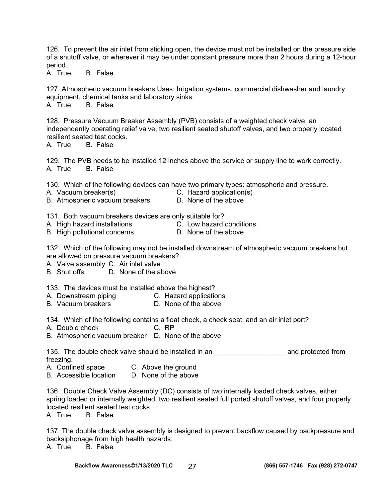126. To prevent the air inlet from sticking open, the device must not be installed on the pressure side of a shutoff valve, or wherever it may be under constant pressure more than 2 hours during a 12-hour period.<br>A. True

B. False

127. Atmospheric vacuum breakers Uses: Irrigation systems, commercial dishwasher and laundry equipment, chemical tanks and laboratory sinks. A. True B. False

128. Pressure Vacuum Breaker Assembly (PVB) consists of a weighted check valve, an independently operating relief valve, two resilient seated shutoff valves, and two properly located resilient seated test cocks.

A. True B. False

129. The PVB needs to be installed 12 inches above the service or supply line to work correctly. A. True B. False

130. Which of the following devices can have two primary types: atmospheric and pressure.

- 
- A. Vacuum breaker(s) C. Hazard application(s)
- B. Atmospheric vacuum breakers D. None of the above
- 

131. Both vacuum breakers devices are only suitable for?

- A. High hazard installations C. Low hazard conditions
- B. High pollutional concerns **D. None of the above** 
	-

132. Which of the following may not be installed downstream of atmospheric vacuum breakers but are allowed on pressure vacuum breakers?

A. Valve assembly C. Air inlet valve

B. Shut offs D. None of the above

133. The devices must be installed above the highest?

- A. Downstream piping C. Hazard applications
- B. Vacuum breakers **D. None of the above**

134. Which of the following contains a float check, a check seat, and an air inlet port?

- A. Double check C. RP
- B. Atmospheric vacuum breaker D. None of the above

135. The double check valve should be installed in an \_\_\_\_\_\_\_\_\_\_\_\_\_\_\_\_\_\_\_and protected from freezing.

- A. Confined space C. Above the ground
- B. Accessible location D. None of the above

136. Double Check Valve Assembly (DC) consists of two internally loaded check valves, either spring loaded or internally weighted, two resilient seated full ported shutoff valves, and four properly located resilient seated test cocks<br>A True B False

**B.** False

137. The double check valve assembly is designed to prevent backflow caused by backpressure and backsiphonage from high health hazards.

A. True B. False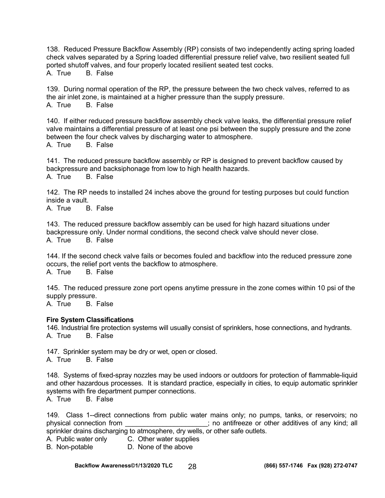138. Reduced Pressure Backflow Assembly (RP) consists of two independently acting spring loaded check valves separated by a Spring loaded differential pressure relief valve, two resilient seated full ported shutoff valves, and four properly located resilient seated test cocks.

A. True B. False

139. During normal operation of the RP, the pressure between the two check valves, referred to as the air inlet zone, is maintained at a higher pressure than the supply pressure. A. True B. False

140. If either reduced pressure backflow assembly check valve leaks, the differential pressure relief valve maintains a differential pressure of at least one psi between the supply pressure and the zone between the four check valves by discharging water to atmosphere. A. True B. False

141. The reduced pressure backflow assembly or RP is designed to prevent backflow caused by backpressure and backsiphonage from low to high health hazards. A. True B. False

142. The RP needs to installed 24 inches above the ground for testing purposes but could function inside a vault.

A. True B. False

143. The reduced pressure backflow assembly can be used for high hazard situations under backpressure only. Under normal conditions, the second check valve should never close. A. True B. False

144. If the second check valve fails or becomes fouled and backflow into the reduced pressure zone occurs, the relief port vents the backflow to atmosphere. A. True B. False

145. The reduced pressure zone port opens anytime pressure in the zone comes within 10 psi of the supply pressure.

A. True B. False

#### **Fire System Classifications**

146. Industrial fire protection systems will usually consist of sprinklers, hose connections, and hydrants. A. True B. False

147. Sprinkler system may be dry or wet, open or closed. A. True B. False

148. Systems of fixed-spray nozzles may be used indoors or outdoors for protection of flammable-liquid and other hazardous processes. It is standard practice, especially in cities, to equip automatic sprinkler systems with fire department pumper connections.

A. True B. False

149. Class 1--direct connections from public water mains only; no pumps, tanks, or reservoirs; no physical connection from \_\_\_\_\_\_\_\_\_\_\_\_\_\_\_; no antifreeze or other additives of any kind; all sprinkler drains discharging to atmosphere, dry wells, or other safe outlets.

A. Public water only C. Other water supplies

B. Non-potable D. None of the above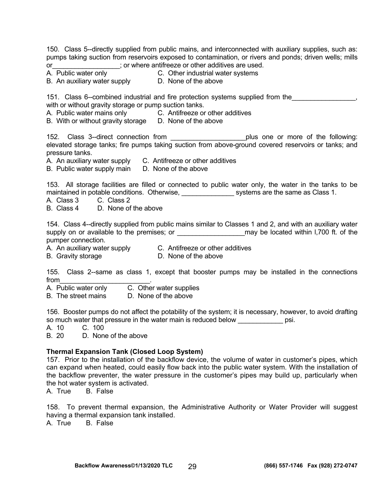150. Class 5--directly supplied from public mains, and interconnected with auxiliary supplies, such as: pumps taking suction from reservoirs exposed to contamination, or rivers and ponds; driven wells; mills or\_\_\_\_\_\_\_\_\_\_\_\_\_\_\_\_\_\_; or where antifreeze or other additives are used.<br>A. Public water only execute C. Other industrial water systems

C. Other industrial water systems

B. An auxiliary water supply D. None of the above

151. Class 6--combined industrial and fire protection systems supplied from the

with or without gravity storage or pump suction tanks.

A. Public water mains only C. Antifreeze or other additives

B. With or without gravity storage D. None of the above

152. Class 3--direct connection from the state of the following: elevated storage tanks; fire pumps taking suction from above-ground covered reservoirs or tanks; and pressure tanks.

A. An auxiliary water supply C. Antifreeze or other additives

B. Public water supply main D. None of the above

153. All storage facilities are filled or connected to public water only, the water in the tanks to be maintained in potable conditions. Otherwise, \_\_\_\_\_\_\_\_\_\_\_\_\_\_ systems are the same as Class 1.

A. Class 3 C. Class 2

B. Class 4 D. None of the above

154. Class 4--directly supplied from public mains similar to Classes 1 and 2, and with an auxiliary water supply on or available to the premises; or \_\_\_\_\_\_\_\_\_\_\_\_\_\_\_\_\_\_\_\_\_\_\_\_\_may be located within I,700 ft. of the pumper connection.

A. An auxiliary water supply C. Antifreeze or other additives

B. Gravity storage D. None of the above

155. Class 2--same as class 1, except that booster pumps may be installed in the connections from\_\_\_\_\_\_\_\_\_\_\_\_\_\_\_\_\_\_\_\_\_\_\_\_.

A. Public water only C. Other water supplies

B. The street mains D. None of the above

156. Booster pumps do not affect the potability of the system; it is necessary, however, to avoid drafting so much water that pressure in the water main is reduced below psi.

A. 10 C. 100

B. 20 D. None of the above

## **Thermal Expansion Tank (Closed Loop System)**

157. Prior to the installation of the backflow device, the volume of water in customer's pipes, which can expand when heated, could easily flow back into the public water system. With the installation of the backflow preventer, the water pressure in the customer's pipes may build up, particularly when the hot water system is activated.

A. True B. False

158. To prevent thermal expansion, the Administrative Authority or Water Provider will suggest having a thermal expansion tank installed.

A. True B. False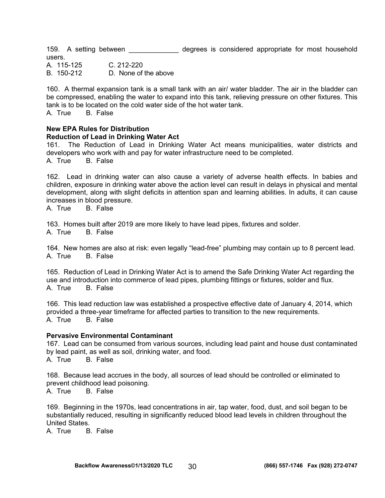159. A setting between degrees is considered appropriate for most household users. A. 115-125 C. 212-220 B. 150-212 D. None of the above

160. A thermal expansion tank is a small tank with an air/ water bladder. The air in the bladder can be compressed, enabling the water to expand into this tank, relieving pressure on other fixtures. This tank is to be located on the cold water side of the hot water tank.

A. True B. False

#### **New EPA Rules for Distribution Reduction of Lead in Drinking Water Act**

161. The Reduction of Lead in Drinking Water Act means municipalities, water districts and developers who work with and pay for water infrastructure need to be completed. A. True B. False

162. Lead in drinking water can also cause a variety of adverse health effects. In babies and children, exposure in drinking water above the action level can result in delays in physical and mental development, along with slight deficits in attention span and learning abilities. In adults, it can cause increases in blood pressure.

A. True B. False

163. Homes built after 2019 are more likely to have lead pipes, fixtures and solder.

A. True B. False

164. New homes are also at risk: even legally "lead-free" plumbing may contain up to 8 percent lead. A. True B. False

165. Reduction of Lead in Drinking Water Act is to amend the Safe Drinking Water Act regarding the use and introduction into commerce of lead pipes, plumbing fittings or fixtures, solder and flux. A. True B. False

166. This lead reduction law was established a prospective effective date of January 4, 2014, which provided a three-year timeframe for affected parties to transition to the new requirements. A. True B. False

## **Pervasive Environmental Contaminant**

167. Lead can be consumed from various sources, including lead paint and house dust contaminated by lead paint, as well as soil, drinking water, and food. A. True B. False

168. Because lead accrues in the body, all sources of lead should be controlled or eliminated to prevent childhood lead poisoning.

A. True B. False

169. Beginning in the 1970s, lead concentrations in air, tap water, food, dust, and soil began to be substantially reduced, resulting in significantly reduced blood lead levels in children throughout the United States.

A. True B. False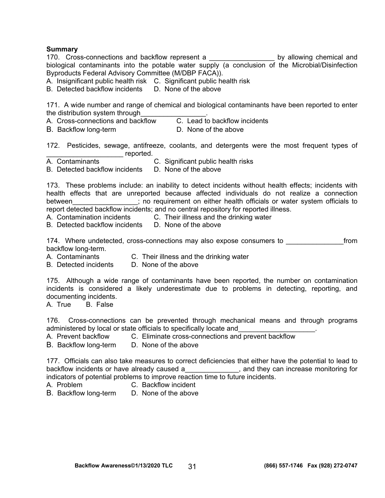#### **Summary**

170. Cross-connections and backflow represent a by allowing chemical and biological contaminants into the potable water supply (a conclusion of the Microbial/Disinfection Byproducts Federal Advisory Committee (M/DBP FACA)).

A. Insignificant public health risk C. Significant public health risk

B. Detected backflow incidents D. None of the above

171. A wide number and range of chemical and biological contaminants have been reported to enter the distribution system through\_\_\_\_\_\_\_\_\_\_\_\_\_\_\_\_\_\_\_\_.<br>A. Cross-connections and backflow \_\_\_\_\_C. Lead to backflow incidents

- A. Cross-connections and backflow
- B. Backflow long-termD. None of the above

172. Pesticides, sewage, antifreeze, coolants, and detergents were the most frequent types of reported.

A. Contaminants C. Significant public health risks

B. Detected backflow incidents D. None of the above

173. These problems include: an inability to detect incidents without health effects; incidents with health effects that are unreported because affected individuals do not realize a connection between **Example 20** in the requirement on either health officials or water system officials to report detected backflow incidents; and no central repository for reported illness.

A. Contamination incidents C. Their illness and the drinking water<br>B. Detected backflow incidents D. None of the above

B. Detected backflow incidents

174. Where undetected, cross-connections may also expose consumers to **excomenance** from backflow long-term.

A. Contaminants C. Their illness and the drinking water

B. Detected incidents D. None of the above

175. Although a wide range of contaminants have been reported, the number on contamination incidents is considered a likely underestimate due to problems in detecting, reporting, and documenting incidents.

A. True B. False

176. Cross-connections can be prevented through mechanical means and through programs administered by local or state officials to specifically locate and

A. Prevent backflow C. Eliminate cross-connections and prevent backflow

B. Backflow long-termD. None of the above

177. Officials can also take measures to correct deficiencies that either have the potential to lead to backflow incidents or have already caused a\_\_\_\_\_\_\_\_\_\_\_\_\_\_, and they can increase monitoring for indicators of potential problems to improve reaction time to future incidents.

- 
- A. Problem C. Backflow incident
- B. Backflow long-termD. None of the above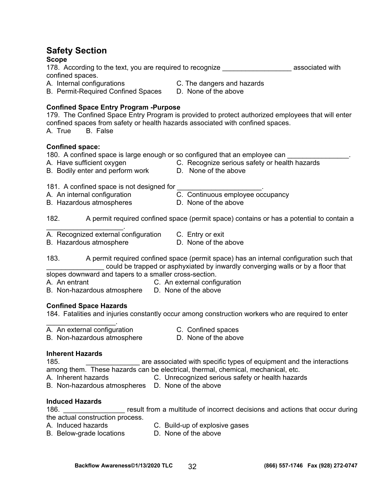# **Safety Section**

## **Scope**

178. According to the text, you are required to recognize **the enducated in the set of the set of the set of the s** confined spaces.

A. Internal configurations C. The dangers and hazards

- 
- B. Permit-Required Confined Spaces D. None of the above
- 

# **Confined Space Entry Program -Purpose**

179. The Confined Space Entry Program is provided to protect authorized employees that will enter confined spaces from safety or health hazards associated with confined spaces. A. True B. False

## **Confined space:**

180. A confined space is large enough or so configured that an employee can

- C. Recognize serious safety or health hazards A. Have sufficient oxygen<br>
B. Bodily enter and perform work 
D. None of the above
- -
- A. An internal configuration
- B. Hazardous atmospheres **D. None of the above**
- 181. A confined space is not designed for  $\frac{1}{C}$ . Continuous employee occupancy
	-

182. A permit required confined space (permit space) contains or has a potential to contain a

- $\mathcal{L}_\text{max}$  and  $\mathcal{L}_\text{max}$  and  $\mathcal{L}_\text{max}$ A. Recognized external configuration C. Entry or exit
- 
- 
- B. Hazardous atmosphere **D.** None of the above
- 183. A permit required confined space (permit space) has an internal configuration such that could be trapped or asphyxiated by inwardly converging walls or by a floor that slopes downward and tapers to a smaller cross-section.
- A. An entrant C. An external configuration
- B. Non-hazardous atmosphere D. None of the above

## **Confined Space Hazards**

184. Fatalities and injuries constantly occur among construction workers who are required to enter

- $\mathcal{L}=\mathcal{L}^{\mathcal{L}}$ A. An external configuration **C. Confined spaces** 
	-
- B. Non-hazardous atmosphere D. None of the above

## **Inherent Hazards**

185. \_\_\_\_\_\_\_\_\_\_\_\_\_\_\_\_\_\_\_\_\_\_\_\_ are associated with specific types of equipment and the interactions among them. These hazards can be electrical, thermal, chemical, mechanical, etc.

- A. Inherent hazards C. Unrecognized serious safety or health hazards
- B. Non-hazardous atmospheres D. None of the above

# **Induced Hazards**

186. \_\_\_\_\_\_\_\_\_\_\_\_\_\_\_\_ result from a multitude of incorrect decisions and actions that occur during the actual construction process.

- A. Induced hazards C. Build-up of explosive gases
	-
- B. Below-grade locations D. None of the above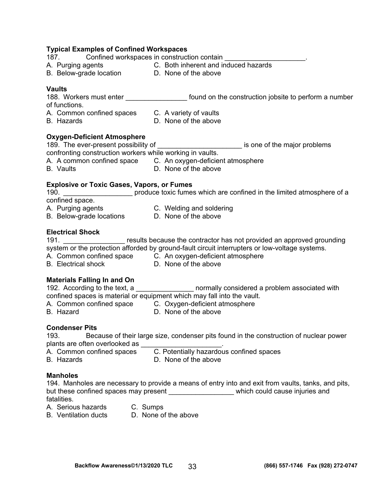#### **Typical Examples of Confined Workspaces**  187. Confined workspaces in construction contain \_\_\_\_\_\_\_\_\_\_\_\_\_\_\_\_\_\_\_\_\_.

| A. Purging agents<br>B. Below-grade location                                                                                                                        | C. Both inherent and induced hazards<br>D. None of the above                                                                                                                                                                                                  |
|---------------------------------------------------------------------------------------------------------------------------------------------------------------------|---------------------------------------------------------------------------------------------------------------------------------------------------------------------------------------------------------------------------------------------------------------|
| <b>Vaults</b><br>of functions.<br>A. Common confined spaces C. A variety of vaults<br><b>B.</b> Hazards                                                             | 188. Workers must enter _______________________ found on the construction jobsite to perform a number<br>D. None of the above                                                                                                                                 |
| <b>Oxygen-Deficient Atmosphere</b><br>189. The ever-present possibility of<br>confronting construction workers while working in vaults.<br><b>B.</b> Vaults         | is one of the major problems<br>A. A common confined space C. An oxygen-deficient atmosphere<br>D. None of the above                                                                                                                                          |
| <b>Explosive or Toxic Gases, Vapors, or Fumes</b><br>confined space.<br>A. Purging agents C. Welding and soldering<br>B. Below-grade locations D. None of the above | 190. <b>Some Servey Servey Servey Servey Servey Servey Servey Servey Servey Servey Servey Servey Servey Servey Servey Servey Servey Servey Servey Servey Servey Servey Servey Servey Servey Servey Servey Servey Servey Servey S</b>                          |
| <b>Electrical Shock</b><br>191.<br><b>B.</b> Electrical shock                                                                                                       | results because the contractor has not provided an approved grounding<br>system or the protection afforded by ground-fault circuit interrupters or low-voltage systems.<br>A. Common confined space C. An oxygen-deficient atmosphere<br>D. None of the above |
| <b>Materials Falling In and On</b><br>B. Hazard                                                                                                                     | 192. According to the text, a measurement of normally considered a problem associated with<br>confined spaces is material or equipment which may fall into the vault.<br>A. Common confined space C. Oxygen-deficient atmosphere<br>D. None of the above      |
| <b>Condenser Pits</b><br>plants are often overlooked as<br>A. Common confined spaces<br><b>B.</b> Hazards                                                           | Because of their large size, condenser pits found in the construction of nuclear power<br>C. Potentially hazardous confined spaces<br>D. None of the above                                                                                                    |
|                                                                                                                                                                     |                                                                                                                                                                                                                                                               |

**Manholes** 

194. Manholes are necessary to provide a means of entry into and exit from vaults, tanks, and pits, but these confined spaces may present \_\_\_\_\_\_\_\_\_\_\_\_\_\_\_\_\_\_ which could cause injuries and fatalities.

- A.Serious hazards C. Sumps
	-
- B. Ventilation ducts D. None of the above
-